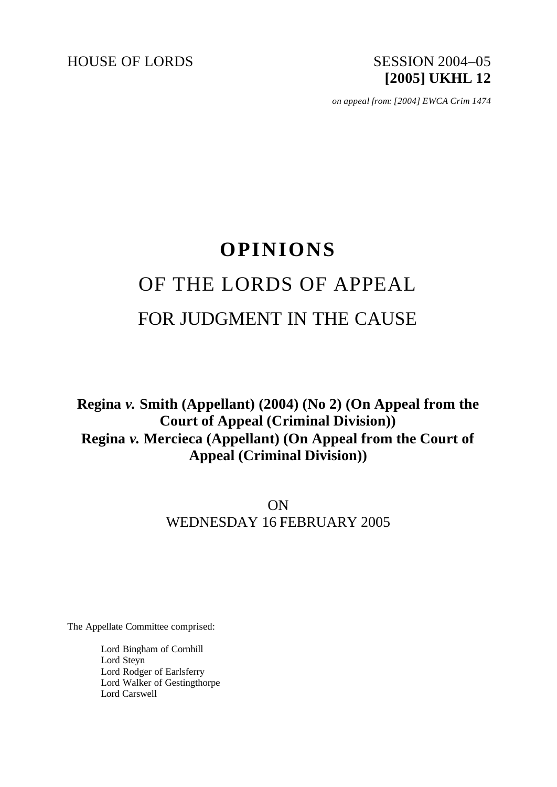HOUSE OF LORDS SESSION 2004–05

# **[2005] UKHL 12**

*on appeal from: [2004] EWCA Crim 1474*

# **OPINIONS** OF THE LORDS OF APPEAL FOR JUDGMENT IN THE CAUSE

**Regina** *v.* **Smith (Appellant) (2004) (No 2) (On Appeal from the Court of Appeal (Criminal Division)) Regina** *v.* **Mercieca (Appellant) (On Appeal from the Court of Appeal (Criminal Division))**

> ON WEDNESDAY 16 FEBRUARY 2005

The Appellate Committee comprised:

Lord Bingham of Cornhill Lord Steyn Lord Rodger of Earlsferry Lord Walker of Gestingthorpe Lord Carswell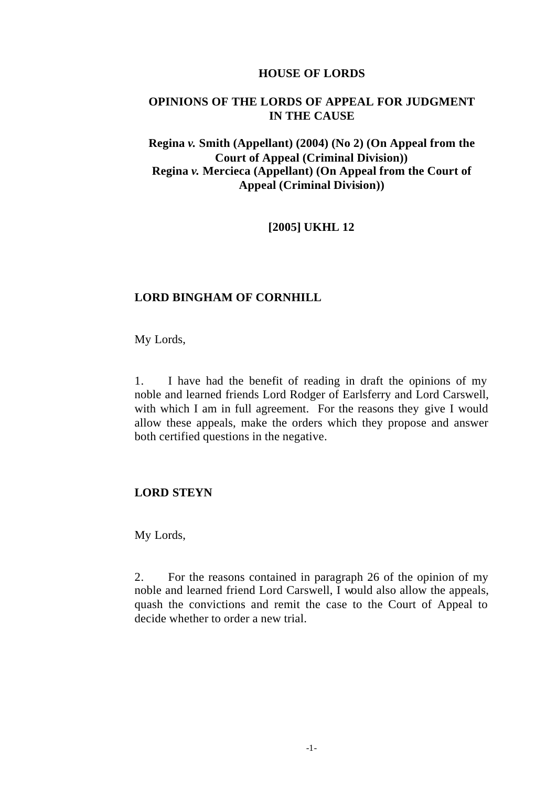#### **HOUSE OF LORDS**

## **OPINIONS OF THE LORDS OF APPEAL FOR JUDGMENT IN THE CAUSE**

# **Regina** *v.* **Smith (Appellant) (2004) (No 2) (On Appeal from the Court of Appeal (Criminal Division)) Regina** *v.* **Mercieca (Appellant) (On Appeal from the Court of Appeal (Criminal Division))**

# **[2005] UKHL 12**

#### **LORD BINGHAM OF CORNHILL**

My Lords,

1. I have had the benefit of reading in draft the opinions of my noble and learned friends Lord Rodger of Earlsferry and Lord Carswell, with which I am in full agreement. For the reasons they give I would allow these appeals, make the orders which they propose and answer both certified questions in the negative.

#### **LORD STEYN**

My Lords,

2. For the reasons contained in paragraph 26 of the opinion of my noble and learned friend Lord Carswell, I would also allow the appeals, quash the convictions and remit the case to the Court of Appeal to decide whether to order a new trial.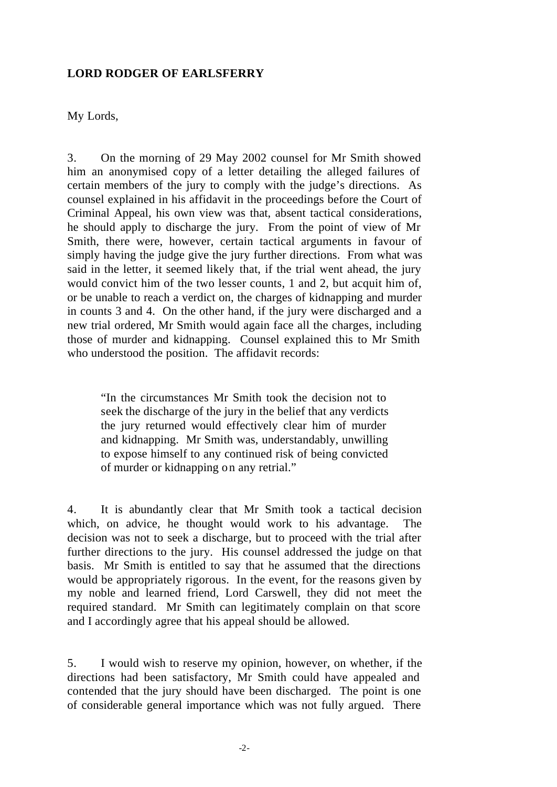#### **LORD RODGER OF EARLSFERRY**

My Lords,

3. On the morning of 29 May 2002 counsel for Mr Smith showed him an anonymised copy of a letter detailing the alleged failures of certain members of the jury to comply with the judge's directions. As counsel explained in his affidavit in the proceedings before the Court of Criminal Appeal, his own view was that, absent tactical considerations, he should apply to discharge the jury. From the point of view of Mr Smith, there were, however, certain tactical arguments in favour of simply having the judge give the jury further directions. From what was said in the letter, it seemed likely that, if the trial went ahead, the jury would convict him of the two lesser counts, 1 and 2, but acquit him of, or be unable to reach a verdict on, the charges of kidnapping and murder in counts 3 and 4. On the other hand, if the jury were discharged and a new trial ordered, Mr Smith would again face all the charges, including those of murder and kidnapping. Counsel explained this to Mr Smith who understood the position. The affidavit records:

"In the circumstances Mr Smith took the decision not to seek the discharge of the jury in the belief that any verdicts the jury returned would effectively clear him of murder and kidnapping. Mr Smith was, understandably, unwilling to expose himself to any continued risk of being convicted of murder or kidnapping on any retrial."

4. It is abundantly clear that Mr Smith took a tactical decision which, on advice, he thought would work to his advantage. The decision was not to seek a discharge, but to proceed with the trial after further directions to the jury. His counsel addressed the judge on that basis. Mr Smith is entitled to say that he assumed that the directions would be appropriately rigorous. In the event, for the reasons given by my noble and learned friend, Lord Carswell, they did not meet the required standard. Mr Smith can legitimately complain on that score and I accordingly agree that his appeal should be allowed.

5. I would wish to reserve my opinion, however, on whether, if the directions had been satisfactory, Mr Smith could have appealed and contended that the jury should have been discharged. The point is one of considerable general importance which was not fully argued. There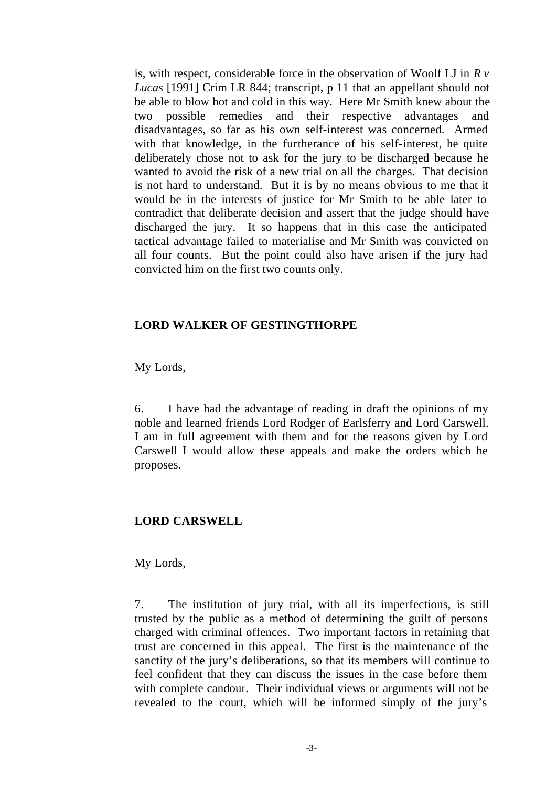is, with respect, considerable force in the observation of Woolf LJ in *R v Lucas* [1991] Crim LR 844; transcript, p 11 that an appellant should not be able to blow hot and cold in this way. Here Mr Smith knew about the two possible remedies and their respective advantages and disadvantages, so far as his own self-interest was concerned. Armed with that knowledge, in the furtherance of his self-interest, he quite deliberately chose not to ask for the jury to be discharged because he wanted to avoid the risk of a new trial on all the charges. That decision is not hard to understand. But it is by no means obvious to me that it would be in the interests of justice for Mr Smith to be able later to contradict that deliberate decision and assert that the judge should have discharged the jury. It so happens that in this case the anticipated tactical advantage failed to materialise and Mr Smith was convicted on all four counts. But the point could also have arisen if the jury had convicted him on the first two counts only.

## **LORD WALKER OF GESTINGTHORPE**

My Lords,

6. I have had the advantage of reading in draft the opinions of my noble and learned friends Lord Rodger of Earlsferry and Lord Carswell. I am in full agreement with them and for the reasons given by Lord Carswell I would allow these appeals and make the orders which he proposes.

# **LORD CARSWELL**

My Lords,

7. The institution of jury trial, with all its imperfections, is still trusted by the public as a method of determining the guilt of persons charged with criminal offences. Two important factors in retaining that trust are concerned in this appeal. The first is the maintenance of the sanctity of the jury's deliberations, so that its members will continue to feel confident that they can discuss the issues in the case before them with complete candour. Their individual views or arguments will not be revealed to the court, which will be informed simply of the jury's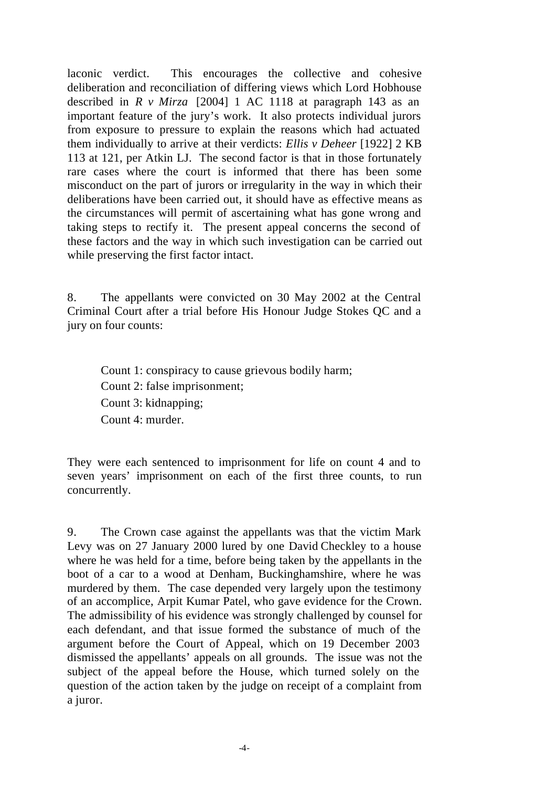laconic verdict. This encourages the collective and cohesive deliberation and reconciliation of differing views which Lord Hobhouse described in *R v Mirza* [2004] 1 AC 1118 at paragraph 143 as an important feature of the jury's work. It also protects individual jurors from exposure to pressure to explain the reasons which had actuated them individually to arrive at their verdicts: *Ellis v Deheer* [1922] 2 KB 113 at 121, per Atkin LJ. The second factor is that in those fortunately rare cases where the court is informed that there has been some misconduct on the part of jurors or irregularity in the way in which their deliberations have been carried out, it should have as effective means as the circumstances will permit of ascertaining what has gone wrong and taking steps to rectify it. The present appeal concerns the second of these factors and the way in which such investigation can be carried out while preserving the first factor intact.

8. The appellants were convicted on 30 May 2002 at the Central Criminal Court after a trial before His Honour Judge Stokes QC and a jury on four counts:

Count 1: conspiracy to cause grievous bodily harm; Count 2: false imprisonment; Count 3: kidnapping; Count 4: murder.

They were each sentenced to imprisonment for life on count 4 and to seven years' imprisonment on each of the first three counts, to run concurrently.

9. The Crown case against the appellants was that the victim Mark Levy was on 27 January 2000 lured by one David Checkley to a house where he was held for a time, before being taken by the appellants in the boot of a car to a wood at Denham, Buckinghamshire, where he was murdered by them. The case depended very largely upon the testimony of an accomplice, Arpit Kumar Patel, who gave evidence for the Crown. The admissibility of his evidence was strongly challenged by counsel for each defendant, and that issue formed the substance of much of the argument before the Court of Appeal, which on 19 December 2003 dismissed the appellants' appeals on all grounds. The issue was not the subject of the appeal before the House, which turned solely on the question of the action taken by the judge on receipt of a complaint from a juror.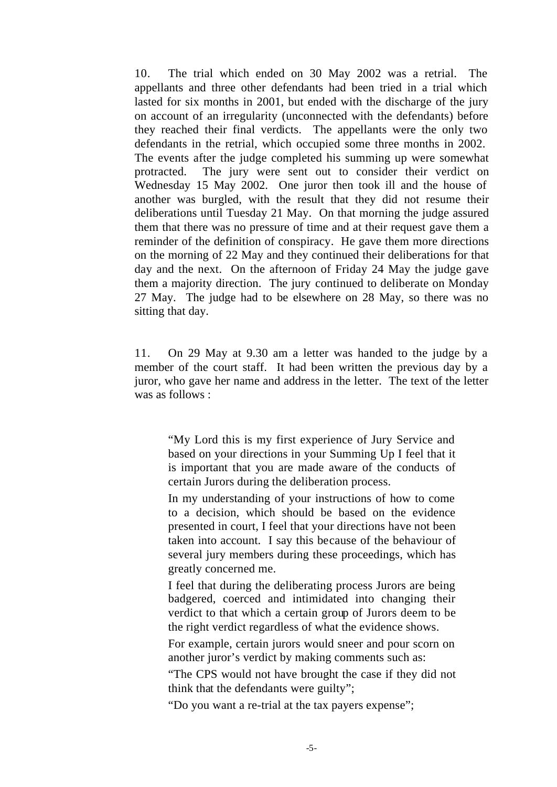10. The trial which ended on 30 May 2002 was a retrial. The appellants and three other defendants had been tried in a trial which lasted for six months in 2001, but ended with the discharge of the jury on account of an irregularity (unconnected with the defendants) before they reached their final verdicts. The appellants were the only two defendants in the retrial, which occupied some three months in 2002. The events after the judge completed his summing up were somewhat protracted. The jury were sent out to consider their verdict on Wednesday 15 May 2002. One juror then took ill and the house of another was burgled, with the result that they did not resume their deliberations until Tuesday 21 May. On that morning the judge assured them that there was no pressure of time and at their request gave them a reminder of the definition of conspiracy. He gave them more directions on the morning of 22 May and they continued their deliberations for that day and the next. On the afternoon of Friday 24 May the judge gave them a majority direction. The jury continued to deliberate on Monday 27 May. The judge had to be elsewhere on 28 May, so there was no sitting that day.

11. On 29 May at 9.30 am a letter was handed to the judge by a member of the court staff. It had been written the previous day by a juror, who gave her name and address in the letter. The text of the letter was as follows :

"My Lord this is my first experience of Jury Service and based on your directions in your Summing Up I feel that it is important that you are made aware of the conducts of certain Jurors during the deliberation process.

In my understanding of your instructions of how to come to a decision, which should be based on the evidence presented in court, I feel that your directions have not been taken into account. I say this because of the behaviour of several jury members during these proceedings, which has greatly concerned me.

I feel that during the deliberating process Jurors are being badgered, coerced and intimidated into changing their verdict to that which a certain group of Jurors deem to be the right verdict regardless of what the evidence shows.

For example, certain jurors would sneer and pour scorn on another juror's verdict by making comments such as:

"The CPS would not have brought the case if they did not think that the defendants were guilty";

"Do you want a re-trial at the tax payers expense";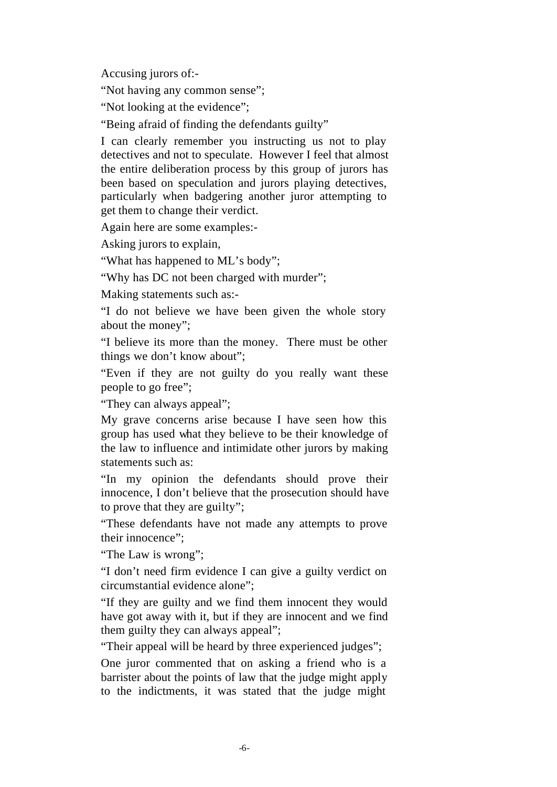Accusing jurors of:-

"Not having any common sense";

"Not looking at the evidence";

"Being afraid of finding the defendants guilty"

I can clearly remember you instructing us not to play detectives and not to speculate. However I feel that almost the entire deliberation process by this group of jurors has been based on speculation and jurors playing detectives, particularly when badgering another juror attempting to get them to change their verdict.

Again here are some examples:-

Asking jurors to explain,

"What has happened to ML's body";

"Why has DC not been charged with murder";

Making statements such as:-

"I do not believe we have been given the whole story about the money";

"I believe its more than the money. There must be other things we don't know about";

"Even if they are not guilty do you really want these people to go free";

"They can always appeal";

My grave concerns arise because I have seen how this group has used what they believe to be their knowledge of the law to influence and intimidate other jurors by making statements such as:

"In my opinion the defendants should prove their innocence, I don't believe that the prosecution should have to prove that they are guilty";

"These defendants have not made any attempts to prove their innocence";

"The Law is wrong";

"I don't need firm evidence I can give a guilty verdict on circumstantial evidence alone";

"If they are guilty and we find them innocent they would have got away with it, but if they are innocent and we find them guilty they can always appeal";

"Their appeal will be heard by three experienced judges";

One juror commented that on asking a friend who is a barrister about the points of law that the judge might apply to the indictments, it was stated that the judge might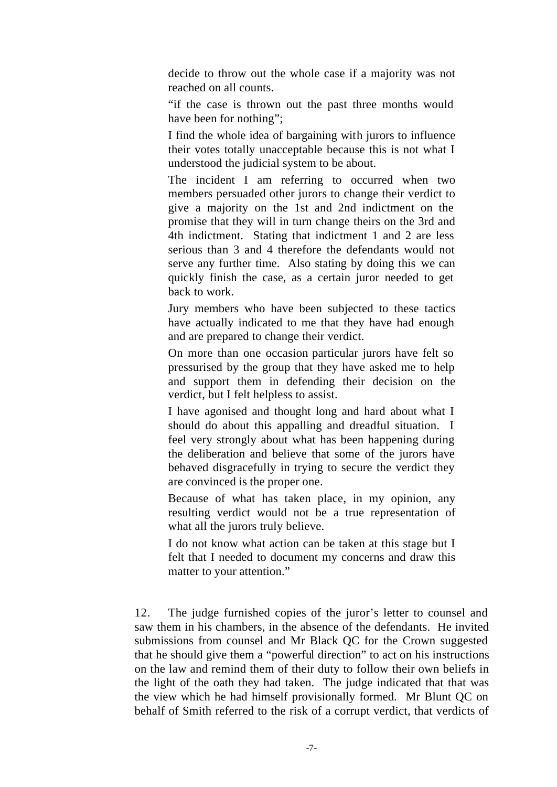decide to throw out the whole case if a majority was not reached on all counts.

"if the case is thrown out the past three months would have been for nothing";

I find the whole idea of bargaining with jurors to influence their votes totally unacceptable because this is not what I understood the judicial system to be about.

The incident I am referring to occurred when two members persuaded other jurors to change their verdict to give a majority on the 1st and 2nd indictment on the promise that they will in turn change theirs on the 3rd and 4th indictment. Stating that indictment 1 and 2 are less serious than 3 and 4 therefore the defendants would not serve any further time. Also stating by doing this we can quickly finish the case, as a certain juror needed to get back to work.

Jury members who have been subjected to these tactics have actually indicated to me that they have had enough and are prepared to change their verdict.

On more than one occasion particular jurors have felt so pressurised by the group that they have asked me to help and support them in defending their decision on the verdict, but I felt helpless to assist.

I have agonised and thought long and hard about what I should do about this appalling and dreadful situation. I feel very strongly about what has been happening during the deliberation and believe that some of the jurors have behaved disgracefully in trying to secure the verdict they are convinced is the proper one.

Because of what has taken place, in my opinion, any resulting verdict would not be a true representation of what all the jurors truly believe.

I do not know what action can be taken at this stage but I felt that I needed to document my concerns and draw this matter to your attention."

12. The judge furnished copies of the juror's letter to counsel and saw them in his chambers, in the absence of the defendants. He invited submissions from counsel and Mr Black QC for the Crown suggested that he should give them a "powerful direction" to act on his instructions on the law and remind them of their duty to follow their own beliefs in the light of the oath they had taken. The judge indicated that that was the view which he had himself provisionally formed. Mr Blunt QC on behalf of Smith referred to the risk of a corrupt verdict, that verdicts of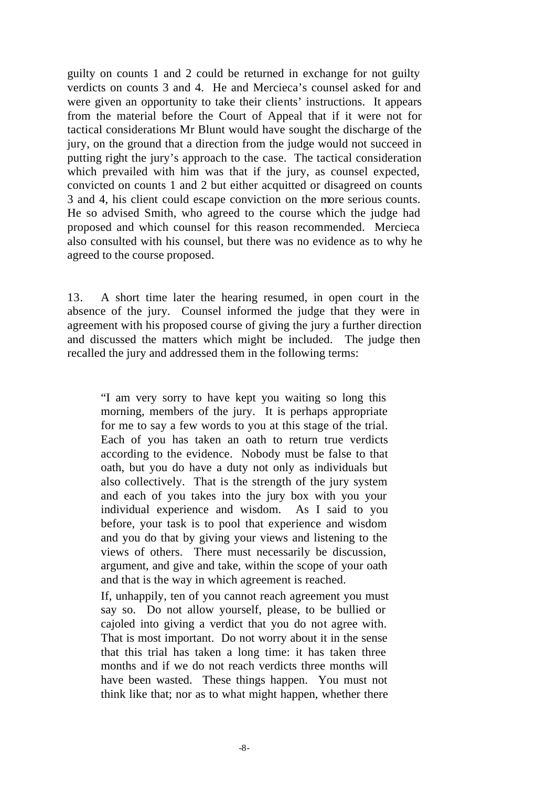guilty on counts 1 and 2 could be returned in exchange for not guilty verdicts on counts 3 and 4. He and Mercieca's counsel asked for and were given an opportunity to take their clients' instructions. It appears from the material before the Court of Appeal that if it were not for tactical considerations Mr Blunt would have sought the discharge of the jury, on the ground that a direction from the judge would not succeed in putting right the jury's approach to the case. The tactical consideration which prevailed with him was that if the jury, as counsel expected, convicted on counts 1 and 2 but either acquitted or disagreed on counts 3 and 4, his client could escape conviction on the more serious counts. He so advised Smith, who agreed to the course which the judge had proposed and which counsel for this reason recommended. Mercieca also consulted with his counsel, but there was no evidence as to why he agreed to the course proposed.

13. A short time later the hearing resumed, in open court in the absence of the jury. Counsel informed the judge that they were in agreement with his proposed course of giving the jury a further direction and discussed the matters which might be included. The judge then recalled the jury and addressed them in the following terms:

"I am very sorry to have kept you waiting so long this morning, members of the jury. It is perhaps appropriate for me to say a few words to you at this stage of the trial. Each of you has taken an oath to return true verdicts according to the evidence. Nobody must be false to that oath, but you do have a duty not only as individuals but also collectively. That is the strength of the jury system and each of you takes into the jury box with you your individual experience and wisdom. As I said to you before, your task is to pool that experience and wisdom and you do that by giving your views and listening to the views of others. There must necessarily be discussion, argument, and give and take, within the scope of your oath and that is the way in which agreement is reached.

If, unhappily, ten of you cannot reach agreement you must say so. Do not allow yourself, please, to be bullied or cajoled into giving a verdict that you do not agree with. That is most important. Do not worry about it in the sense that this trial has taken a long time: it has taken three months and if we do not reach verdicts three months will have been wasted. These things happen. You must not think like that; nor as to what might happen, whether there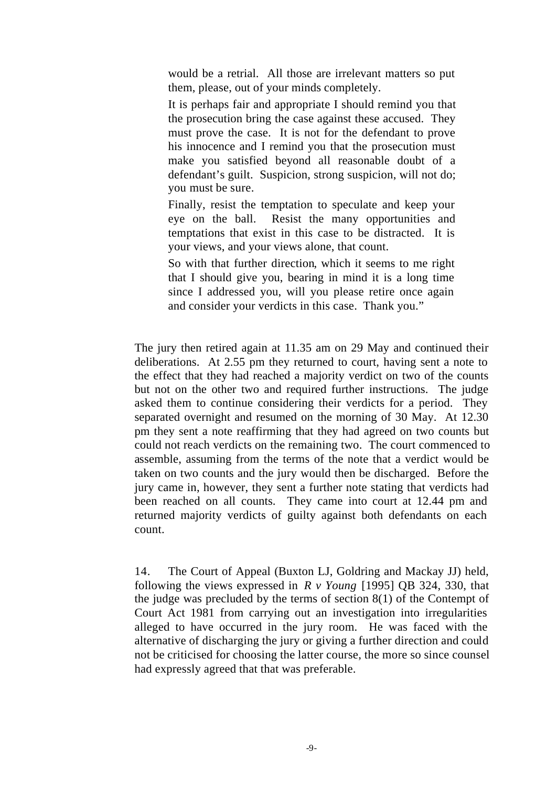would be a retrial. All those are irrelevant matters so put them, please, out of your minds completely.

It is perhaps fair and appropriate I should remind you that the prosecution bring the case against these accused. They must prove the case. It is not for the defendant to prove his innocence and I remind you that the prosecution must make you satisfied beyond all reasonable doubt of a defendant's guilt. Suspicion, strong suspicion, will not do; you must be sure.

Finally, resist the temptation to speculate and keep your eye on the ball. Resist the many opportunities and temptations that exist in this case to be distracted. It is your views, and your views alone, that count.

So with that further direction, which it seems to me right that I should give you, bearing in mind it is a long time since I addressed you, will you please retire once again and consider your verdicts in this case. Thank you."

The jury then retired again at 11.35 am on 29 May and continued their deliberations. At 2.55 pm they returned to court, having sent a note to the effect that they had reached a majority verdict on two of the counts but not on the other two and required further instructions. The judge asked them to continue considering their verdicts for a period. They separated overnight and resumed on the morning of 30 May. At 12.30 pm they sent a note reaffirming that they had agreed on two counts but could not reach verdicts on the remaining two. The court commenced to assemble, assuming from the terms of the note that a verdict would be taken on two counts and the jury would then be discharged. Before the jury came in, however, they sent a further note stating that verdicts had been reached on all counts. They came into court at 12.44 pm and returned majority verdicts of guilty against both defendants on each count.

14. The Court of Appeal (Buxton LJ, Goldring and Mackay JJ) held, following the views expressed in *R v Young* [1995] QB 324, 330, that the judge was precluded by the terms of section 8(1) of the Contempt of Court Act 1981 from carrying out an investigation into irregularities alleged to have occurred in the jury room. He was faced with the alternative of discharging the jury or giving a further direction and could not be criticised for choosing the latter course, the more so since counsel had expressly agreed that that was preferable.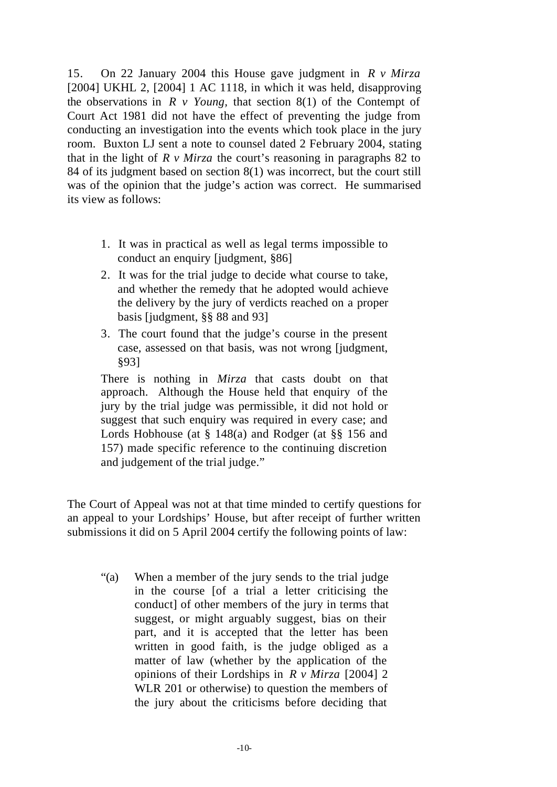15. On 22 January 2004 this House gave judgment in *R v Mirza*  [2004] UKHL 2, [2004] 1 AC 1118, in which it was held, disapproving the observations in  $R \vee Young$ , that section 8(1) of the Contempt of Court Act 1981 did not have the effect of preventing the judge from conducting an investigation into the events which took place in the jury room. Buxton LJ sent a note to counsel dated 2 February 2004, stating that in the light of  $R \nu$  *Mirza* the court's reasoning in paragraphs 82 to 84 of its judgment based on section 8(1) was incorrect, but the court still was of the opinion that the judge's action was correct. He summarised its view as follows:

- 1. It was in practical as well as legal terms impossible to conduct an enquiry [judgment, §86]
- 2. It was for the trial judge to decide what course to take, and whether the remedy that he adopted would achieve the delivery by the jury of verdicts reached on a proper basis [judgment, §§ 88 and 93]
- 3. The court found that the judge's course in the present case, assessed on that basis, was not wrong [judgment, §93]

There is nothing in *Mirza* that casts doubt on that approach. Although the House held that enquiry of the jury by the trial judge was permissible, it did not hold or suggest that such enquiry was required in every case; and Lords Hobhouse (at § 148(a) and Rodger (at §§ 156 and 157) made specific reference to the continuing discretion and judgement of the trial judge."

The Court of Appeal was not at that time minded to certify questions for an appeal to your Lordships' House, but after receipt of further written submissions it did on 5 April 2004 certify the following points of law:

"(a) When a member of the jury sends to the trial judge in the course [of a trial a letter criticising the conduct] of other members of the jury in terms that suggest, or might arguably suggest, bias on their part, and it is accepted that the letter has been written in good faith, is the judge obliged as a matter of law (whether by the application of the opinions of their Lordships in *R v Mirza* [2004] 2 WLR 201 or otherwise) to question the members of the jury about the criticisms before deciding that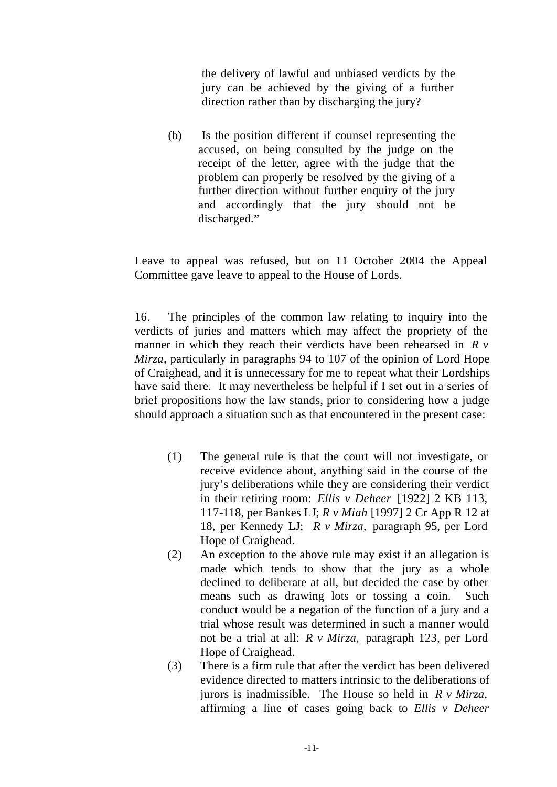the delivery of lawful and unbiased verdicts by the jury can be achieved by the giving of a further direction rather than by discharging the jury?

(b) Is the position different if counsel representing the accused, on being consulted by the judge on the receipt of the letter, agree with the judge that the problem can properly be resolved by the giving of a further direction without further enquiry of the jury and accordingly that the jury should not be discharged."

Leave to appeal was refused, but on 11 October 2004 the Appeal Committee gave leave to appeal to the House of Lords.

16. The principles of the common law relating to inquiry into the verdicts of juries and matters which may affect the propriety of the manner in which they reach their verdicts have been rehearsed in *R v Mirza*, particularly in paragraphs 94 to 107 of the opinion of Lord Hope of Craighead, and it is unnecessary for me to repeat what their Lordships have said there. It may nevertheless be helpful if I set out in a series of brief propositions how the law stands, prior to considering how a judge should approach a situation such as that encountered in the present case:

- (1) The general rule is that the court will not investigate, or receive evidence about, anything said in the course of the jury's deliberations while they are considering their verdict in their retiring room: *Ellis v Deheer* [1922] 2 KB 113, 117-118, per Bankes LJ; *R v Miah* [1997] 2 Cr App R 12 at 18, per Kennedy LJ; *R v Mirza,* paragraph 95, per Lord Hope of Craighead.
- (2) An exception to the above rule may exist if an allegation is made which tends to show that the jury as a whole declined to deliberate at all, but decided the case by other means such as drawing lots or tossing a coin. Such conduct would be a negation of the function of a jury and a trial whose result was determined in such a manner would not be a trial at all: *R v Mirza,* paragraph 123, per Lord Hope of Craighead.
- (3) There is a firm rule that after the verdict has been delivered evidence directed to matters intrinsic to the deliberations of jurors is inadmissible. The House so held in *R v Mirza,*  affirming a line of cases going back to *Ellis v Deheer*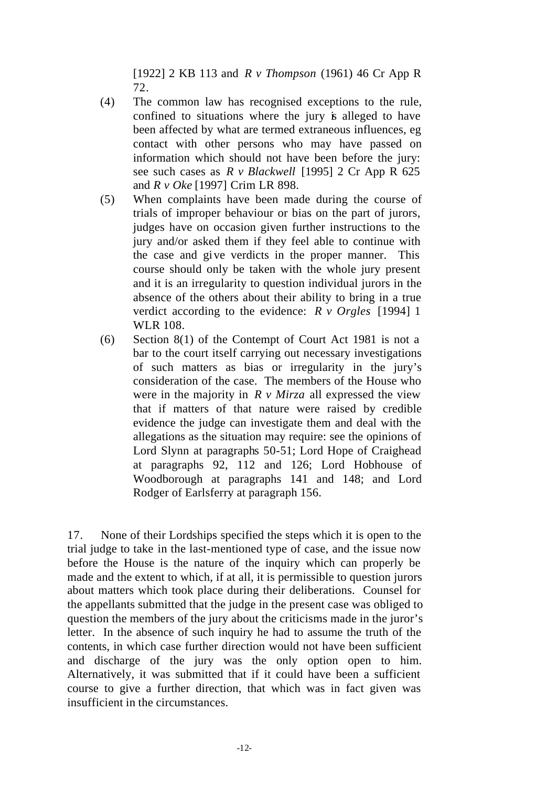[1922] 2 KB 113 and *R v Thompson* (1961) 46 Cr App R 72.

- (4) The common law has recognised exceptions to the rule, confined to situations where the jury is alleged to have been affected by what are termed extraneous influences, eg contact with other persons who may have passed on information which should not have been before the jury: see such cases as *R v Blackwell* [1995] 2 Cr App R 625 and *R v Oke* [1997] Crim LR 898.
- (5) When complaints have been made during the course of trials of improper behaviour or bias on the part of jurors, judges have on occasion given further instructions to the jury and/or asked them if they feel able to continue with the case and give verdicts in the proper manner. This course should only be taken with the whole jury present and it is an irregularity to question individual jurors in the absence of the others about their ability to bring in a true verdict according to the evidence: *R v Orgles* [1994] 1 WLR 108.
- (6) Section 8(1) of the Contempt of Court Act 1981 is not a bar to the court itself carrying out necessary investigations of such matters as bias or irregularity in the jury's consideration of the case. The members of the House who were in the majority in *R v Mirza* all expressed the view that if matters of that nature were raised by credible evidence the judge can investigate them and deal with the allegations as the situation may require: see the opinions of Lord Slynn at paragraphs 50-51; Lord Hope of Craighead at paragraphs 92, 112 and 126; Lord Hobhouse of Woodborough at paragraphs 141 and 148; and Lord Rodger of Earlsferry at paragraph 156.

17. None of their Lordships specified the steps which it is open to the trial judge to take in the last-mentioned type of case, and the issue now before the House is the nature of the inquiry which can properly be made and the extent to which, if at all, it is permissible to question jurors about matters which took place during their deliberations. Counsel for the appellants submitted that the judge in the present case was obliged to question the members of the jury about the criticisms made in the juror's letter. In the absence of such inquiry he had to assume the truth of the contents, in which case further direction would not have been sufficient and discharge of the jury was the only option open to him. Alternatively, it was submitted that if it could have been a sufficient course to give a further direction, that which was in fact given was insufficient in the circumstances.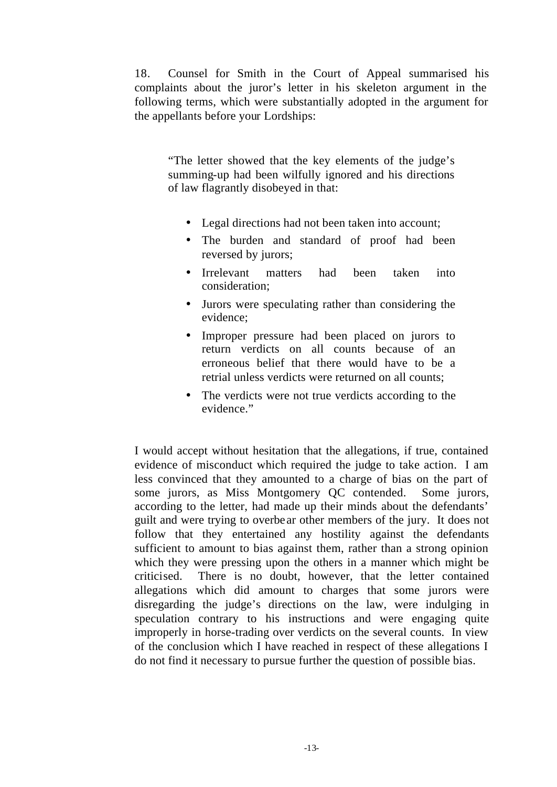18. Counsel for Smith in the Court of Appeal summarised his complaints about the juror's letter in his skeleton argument in the following terms, which were substantially adopted in the argument for the appellants before your Lordships:

"The letter showed that the key elements of the judge's summing-up had been wilfully ignored and his directions of law flagrantly disobeyed in that:

- Legal directions had not been taken into account;
- The burden and standard of proof had been reversed by jurors;
- Irrelevant matters had been taken into consideration;
- Jurors were speculating rather than considering the evidence;
- Improper pressure had been placed on jurors to return verdicts on all counts because of an erroneous belief that there would have to be a retrial unless verdicts were returned on all counts;
- The verdicts were not true verdicts according to the evidence."

I would accept without hesitation that the allegations, if true, contained evidence of misconduct which required the judge to take action. I am less convinced that they amounted to a charge of bias on the part of some jurors, as Miss Montgomery QC contended. Some jurors, according to the letter, had made up their minds about the defendants' guilt and were trying to overbe ar other members of the jury. It does not follow that they entertained any hostility against the defendants sufficient to amount to bias against them, rather than a strong opinion which they were pressing upon the others in a manner which might be criticised. There is no doubt, however, that the letter contained allegations which did amount to charges that some jurors were disregarding the judge's directions on the law, were indulging in speculation contrary to his instructions and were engaging quite improperly in horse-trading over verdicts on the several counts. In view of the conclusion which I have reached in respect of these allegations I do not find it necessary to pursue further the question of possible bias.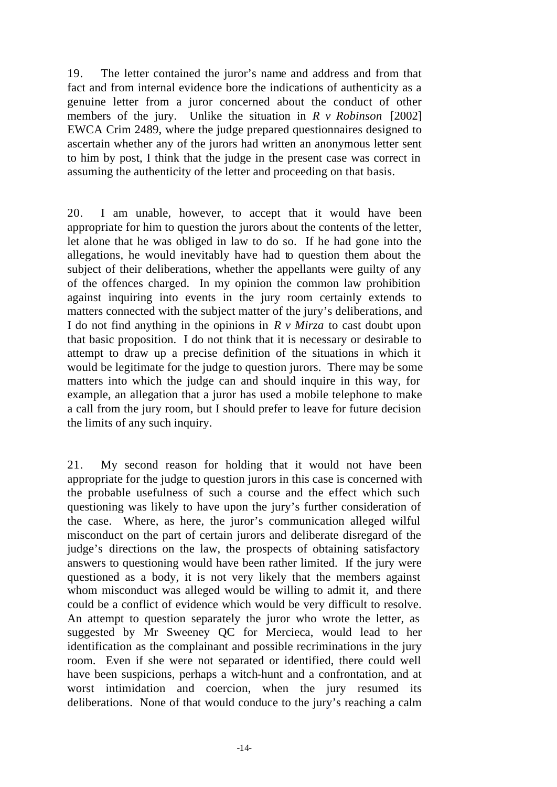19. The letter contained the juror's name and address and from that fact and from internal evidence bore the indications of authenticity as a genuine letter from a juror concerned about the conduct of other members of the jury. Unlike the situation in *R v Robinson* [2002] EWCA Crim 2489, where the judge prepared questionnaires designed to ascertain whether any of the jurors had written an anonymous letter sent to him by post, I think that the judge in the present case was correct in assuming the authenticity of the letter and proceeding on that basis.

20. I am unable, however, to accept that it would have been appropriate for him to question the jurors about the contents of the letter, let alone that he was obliged in law to do so. If he had gone into the allegations, he would inevitably have had to question them about the subject of their deliberations, whether the appellants were guilty of any of the offences charged. In my opinion the common law prohibition against inquiring into events in the jury room certainly extends to matters connected with the subject matter of the jury's deliberations, and I do not find anything in the opinions in *R v Mirza* to cast doubt upon that basic proposition. I do not think that it is necessary or desirable to attempt to draw up a precise definition of the situations in which it would be legitimate for the judge to question jurors. There may be some matters into which the judge can and should inquire in this way, for example, an allegation that a juror has used a mobile telephone to make a call from the jury room, but I should prefer to leave for future decision the limits of any such inquiry.

21. My second reason for holding that it would not have been appropriate for the judge to question jurors in this case is concerned with the probable usefulness of such a course and the effect which such questioning was likely to have upon the jury's further consideration of the case. Where, as here, the juror's communication alleged wilful misconduct on the part of certain jurors and deliberate disregard of the judge's directions on the law, the prospects of obtaining satisfactory answers to questioning would have been rather limited. If the jury were questioned as a body, it is not very likely that the members against whom misconduct was alleged would be willing to admit it, and there could be a conflict of evidence which would be very difficult to resolve. An attempt to question separately the juror who wrote the letter, as suggested by Mr Sweeney QC for Mercieca, would lead to her identification as the complainant and possible recriminations in the jury room. Even if she were not separated or identified, there could well have been suspicions, perhaps a witch-hunt and a confrontation, and at worst intimidation and coercion, when the jury resumed its deliberations. None of that would conduce to the jury's reaching a calm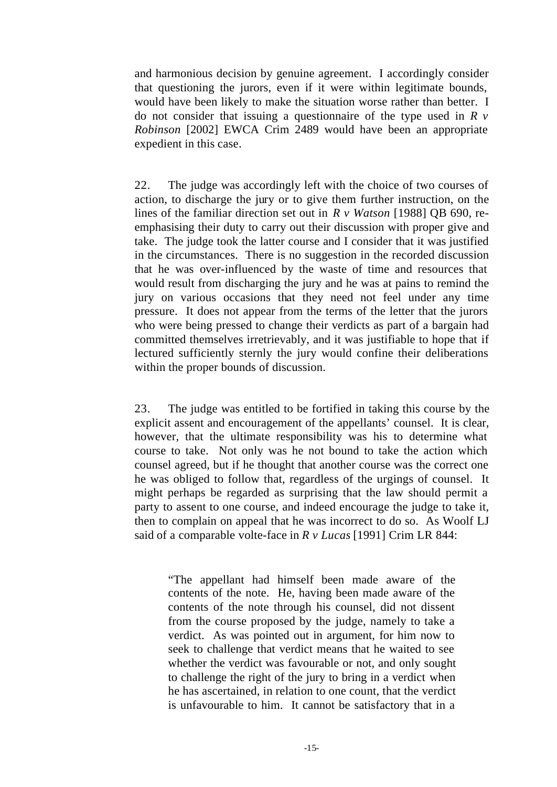and harmonious decision by genuine agreement. I accordingly consider that questioning the jurors, even if it were within legitimate bounds, would have been likely to make the situation worse rather than better. I do not consider that issuing a questionnaire of the type used in *R v Robinson* [2002] EWCA Crim 2489 would have been an appropriate expedient in this case.

22. The judge was accordingly left with the choice of two courses of action, to discharge the jury or to give them further instruction, on the lines of the familiar direction set out in *R v Watson* [1988] QB 690, reemphasising their duty to carry out their discussion with proper give and take. The judge took the latter course and I consider that it was justified in the circumstances. There is no suggestion in the recorded discussion that he was over-influenced by the waste of time and resources that would result from discharging the jury and he was at pains to remind the jury on various occasions that they need not feel under any time pressure. It does not appear from the terms of the letter that the jurors who were being pressed to change their verdicts as part of a bargain had committed themselves irretrievably, and it was justifiable to hope that if lectured sufficiently sternly the jury would confine their deliberations within the proper bounds of discussion.

23. The judge was entitled to be fortified in taking this course by the explicit assent and encouragement of the appellants' counsel. It is clear, however, that the ultimate responsibility was his to determine what course to take. Not only was he not bound to take the action which counsel agreed, but if he thought that another course was the correct one he was obliged to follow that, regardless of the urgings of counsel. It might perhaps be regarded as surprising that the law should permit a party to assent to one course, and indeed encourage the judge to take it, then to complain on appeal that he was incorrect to do so. As Woolf LJ said of a comparable volte-face in *R v Lucas* [1991] Crim LR 844:

"The appellant had himself been made aware of the contents of the note. He, having been made aware of the contents of the note through his counsel, did not dissent from the course proposed by the judge, namely to take a verdict. As was pointed out in argument, for him now to seek to challenge that verdict means that he waited to see whether the verdict was favourable or not, and only sought to challenge the right of the jury to bring in a verdict when he has ascertained, in relation to one count, that the verdict is unfavourable to him. It cannot be satisfactory that in a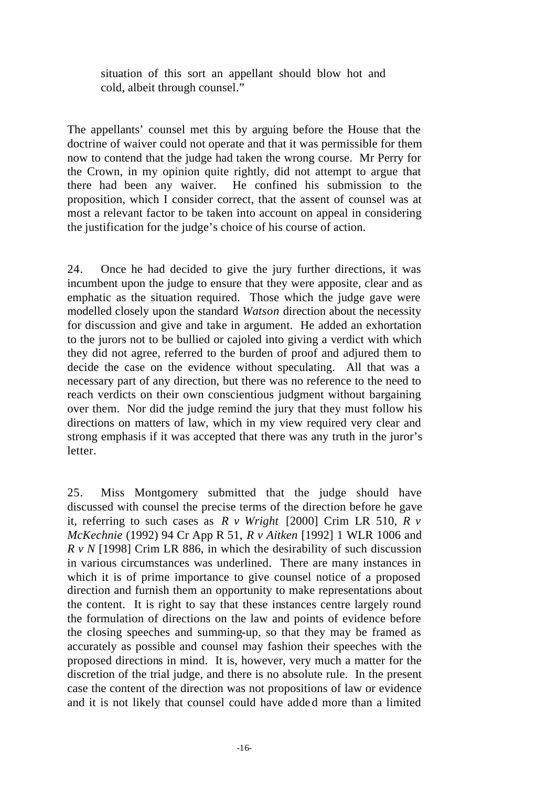situation of this sort an appellant should blow hot and cold, albeit through counsel."

The appellants' counsel met this by arguing before the House that the doctrine of waiver could not operate and that it was permissible for them now to contend that the judge had taken the wrong course. Mr Perry for the Crown, in my opinion quite rightly, did not attempt to argue that there had been any waiver. He confined his submission to the proposition, which I consider correct, that the assent of counsel was at most a relevant factor to be taken into account on appeal in considering the justification for the judge's choice of his course of action.

24. Once he had decided to give the jury further directions, it was incumbent upon the judge to ensure that they were apposite, clear and as emphatic as the situation required. Those which the judge gave were modelled closely upon the standard *Watson* direction about the necessity for discussion and give and take in argument. He added an exhortation to the jurors not to be bullied or cajoled into giving a verdict with which they did not agree, referred to the burden of proof and adjured them to decide the case on the evidence without speculating. All that was a necessary part of any direction, but there was no reference to the need to reach verdicts on their own conscientious judgment without bargaining over them. Nor did the judge remind the jury that they must follow his directions on matters of law, which in my view required very clear and strong emphasis if it was accepted that there was any truth in the juror's letter.

25. Miss Montgomery submitted that the judge should have discussed with counsel the precise terms of the direction before he gave it, referring to such cases as *R v Wright* [2000] Crim LR 510, *R v McKechnie* (1992) 94 Cr App R 51, *R v Aitken* [1992] 1 WLR 1006 and *R v N* [1998] Crim LR 886, in which the desirability of such discussion in various circumstances was underlined. There are many instances in which it is of prime importance to give counsel notice of a proposed direction and furnish them an opportunity to make representations about the content. It is right to say that these instances centre largely round the formulation of directions on the law and points of evidence before the closing speeches and summing-up, so that they may be framed as accurately as possible and counsel may fashion their speeches with the proposed directions in mind. It is, however, very much a matter for the discretion of the trial judge, and there is no absolute rule. In the present case the content of the direction was not propositions of law or evidence and it is not likely that counsel could have adde d more than a limited